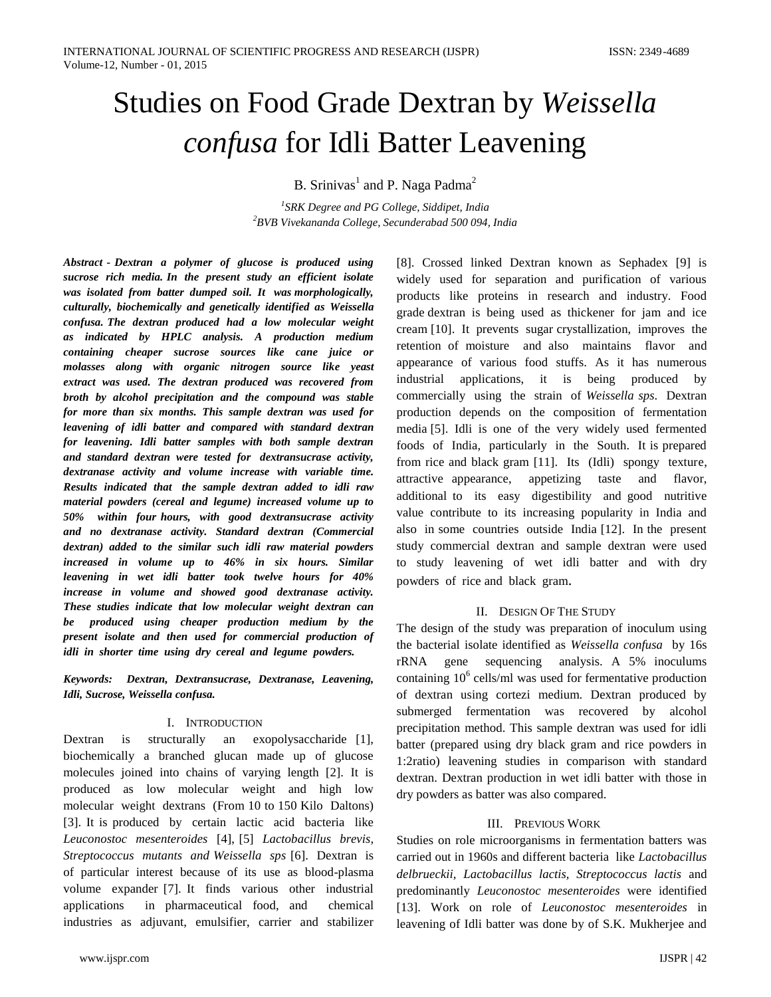# Studies on Food Grade Dextran by *Weissella confusa* for Idli Batter Leavening

B. Srinivas<sup>1</sup> and P. Naga Padma<sup>2</sup>

*1 SRK Degree and PG College, Siddipet, India <sup>2</sup>BVB Vivekananda College, Secunderabad 500 094, India*

*Abstract - Dextran a polymer of glucose is produced using sucrose rich media. In the present study an efficient isolate was isolated from batter dumped soil. It was morphologically, culturally, biochemically and genetically identified as Weissella confusa. The dextran produced had a low molecular weight as indicated by HPLC analysis. A production medium containing cheaper sucrose sources like cane juice or molasses along with organic nitrogen source like yeast extract was used. The dextran produced was recovered from broth by alcohol precipitation and the compound was stable for more than six months. This sample dextran was used for leavening of idli batter and compared with standard dextran for leavening. Idli batter samples with both sample dextran and standard dextran were tested for dextransucrase activity, dextranase activity and volume increase with variable time. Results indicated that the sample dextran added to idli raw material powders (cereal and legume) increased volume up to 50% within four hours, with good dextransucrase activity and no dextranase activity. Standard dextran (Commercial dextran) added to the similar such idli raw material powders increased in volume up to 46% in six hours. Similar leavening in wet idli batter took twelve hours for 40% increase in volume and showed good dextranase activity. These studies indicate that low molecular weight dextran can be produced using cheaper production medium by the present isolate and then used for commercial production of idli in shorter time using dry cereal and legume powders.* 

*Keywords: Dextran, Dextransucrase, Dextranase, Leavening, Idli, Sucrose, Weissella confusa.*

## I. INTRODUCTION

Dextran is structurally an exopolysaccharide [1], biochemically a branched glucan made up of glucose molecules joined into chains of varying length [2]. It is produced as low molecular weight and high low molecular weight dextrans (From 10 to 150 Kilo Daltons) [3]. It is produced by certain lactic acid bacteria like *Leuconostoc mesenteroides* [4], [5] *Lactobacillus brevis, Streptococcus mutants and Weissella sps* [6]. Dextran is of particular interest because of its use as blood-plasma volume expander [7]. It finds various other industrial applications in pharmaceutical food, and chemical industries as adjuvant, emulsifier, carrier and stabilizer

[8]. Crossed linked Dextran known as Sephadex [9] is widely used for separation and purification of various products like proteins in research and industry. Food grade dextran is being used as thickener for jam and ice cream [10]. It prevents sugar crystallization, improves the retention of moisture and also maintains flavor and appearance of various food stuffs. As it has numerous industrial applications, it is being produced by commercially using the strain of *Weissella sps*. Dextran production depends on the composition of fermentation media [5]. Idli is one of the very widely used fermented foods of India, particularly in the South. It is prepared from rice and black gram [11]. Its (Idli) spongy texture, attractive appearance, appetizing taste and flavor, additional to its easy digestibility and good nutritive value contribute to its increasing popularity in India and also in some countries outside India [12]. In the present study commercial dextran and sample dextran were used to study leavening of wet idli batter and with dry powders of rice and black gram.

## II. DESIGN OF THE STUDY

The design of the study was preparation of inoculum using the bacterial isolate identified as *Weissella confusa* by 16s rRNA gene sequencing analysis. A 5% inoculums containing  $10^6$  cells/ml was used for fermentative production of dextran using cortezi medium. Dextran produced by submerged fermentation was recovered by alcohol precipitation method. This sample dextran was used for idli batter (prepared using dry black gram and rice powders in 1:2ratio) leavening studies in comparison with standard dextran. Dextran production in wet idli batter with those in dry powders as batter was also compared.

#### III. PREVIOUS WORK

Studies on role microorganisms in fermentation batters was carried out in 1960s and different bacteria like *Lactobacillus delbrueckii, Lactobacillus lactis, Streptococcus lactis* and predominantly *Leuconostoc mesenteroides* were identified [13]. Work on role of *Leuconostoc mesenteroides* in leavening of Idli batter was done by of S.K. Mukherjee and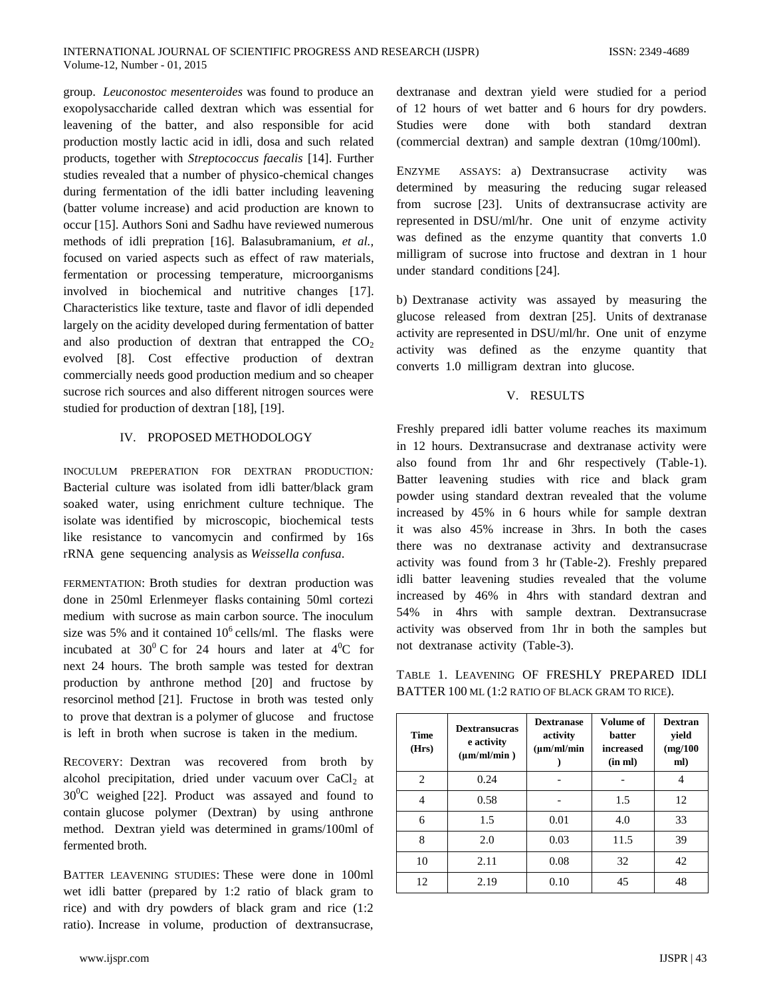group. *Leuconostoc mesenteroides* was found to produce an exopolysaccharide called dextran which was essential for leavening of the batter, and also responsible for acid production mostly lactic acid in idli, dosa and such related products, together with *Streptococcus faecalis* [14]. Further studies revealed that a number of physico-chemical changes during fermentation of the idli batter including leavening (batter volume increase) and acid production are known to occur [15]. Authors Soni and Sadhu have reviewed numerous methods of idli prepration [16]. Balasubramanium, *et al.,* focused on varied aspects such as effect of raw materials, fermentation or processing temperature, microorganisms involved in biochemical and nutritive changes [17]. Characteristics like texture, taste and flavor of idli depended largely on the acidity developed during fermentation of batter and also production of dextran that entrapped the  $CO<sub>2</sub>$ evolved [8]. Cost effective production of dextran commercially needs good production medium and so cheaper sucrose rich sources and also different nitrogen sources were studied for production of dextran [18], [19].

### IV. PROPOSED METHODOLOGY

INOCULUM PREPERATION FOR DEXTRAN PRODUCTION*:* Bacterial culture was isolated from idli batter/black gram soaked water, using enrichment culture technique. The isolate was identified by microscopic, biochemical tests like resistance to vancomycin and confirmed by 16s rRNA gene sequencing analysis as *Weissella confusa*.

FERMENTATION: Broth studies for dextran production was done in 250ml Erlenmeyer flasks containing 50ml cortezi medium with sucrose as main carbon source. The inoculum size was 5% and it contained  $10^6$  cells/ml. The flasks were incubated at  $30^{\circ}$  C for 24 hours and later at  $4^{\circ}$ C for next 24 hours. The broth sample was tested for dextran production by anthrone method [20] and fructose by resorcinol method [21]. Fructose in broth was tested only to prove that dextran is a polymer of glucose and fructose is left in broth when sucrose is taken in the medium.

RECOVERY: Dextran was recovered from broth by alcohol precipitation, dried under vacuum over  $CaCl<sub>2</sub>$  at  $30^0$ C weighed [22]. Product was assayed and found to contain glucose polymer (Dextran) by using anthrone method. Dextran yield was determined in grams/100ml of fermented broth.

BATTER LEAVENING STUDIES: These were done in 100ml wet idli batter (prepared by 1:2 ratio of black gram to rice) and with dry powders of black gram and rice (1:2 ratio). Increase in volume, production of dextransucrase,

www.ijspr.com IJSPR | 43

dextranase and dextran yield were studied for a period of 12 hours of wet batter and 6 hours for dry powders. Studies were done with both standard dextran (commercial dextran) and sample dextran (10mg/100ml).

ENZYME ASSAYS: a) Dextransucrase activity was determined by measuring the reducing sugar released from sucrose [23]. Units of dextransucrase activity are represented in DSU/ml/hr. One unit of enzyme activity was defined as the enzyme quantity that converts 1.0 milligram of sucrose into fructose and dextran in 1 hour under standard conditions [24].

b) Dextranase activity was assayed by measuring the glucose released from dextran [25]. Units of dextranase activity are represented in DSU/ml/hr. One unit of enzyme activity was defined as the enzyme quantity that converts 1.0 milligram dextran into glucose.

### V. RESULTS

Freshly prepared idli batter volume reaches its maximum in 12 hours. Dextransucrase and dextranase activity were also found from 1hr and 6hr respectively (Table-1). Batter leavening studies with rice and black gram powder using standard dextran revealed that the volume increased by 45% in 6 hours while for sample dextran it was also 45% increase in 3hrs. In both the cases there was no dextranase activity and dextransucrase activity was found from 3 hr (Table-2). Freshly prepared idli batter leavening studies revealed that the volume increased by 46% in 4hrs with standard dextran and 54% in 4hrs with sample dextran. Dextransucrase activity was observed from 1hr in both the samples but not dextranase activity (Table-3).

TABLE 1. LEAVENING OF FRESHLY PREPARED IDLI BATTER 100 ML (1:2 RATIO OF BLACK GRAM TO RICE).

| <b>Time</b><br>(Hrs) | <b>Dextransucras</b><br>e activity<br>$(\mu m/ml/min)$ | <b>Dextranase</b><br>activity<br>$(\mu m/ml/min)$ | <b>Volume of</b><br><b>hatter</b><br>increased<br>(in ml) | <b>Dextran</b><br>yield<br>(mg/100)<br>ml) |
|----------------------|--------------------------------------------------------|---------------------------------------------------|-----------------------------------------------------------|--------------------------------------------|
| 2                    | 0.24                                                   |                                                   |                                                           |                                            |
| 4                    | 0.58                                                   |                                                   | 1.5                                                       | 12                                         |
| 6                    | 1.5                                                    | 0.01                                              | 4.0                                                       | 33                                         |
| 8                    | 2.0                                                    | 0.03                                              | 11.5                                                      | 39                                         |
| 10                   | 2.11                                                   | 0.08                                              | 32                                                        | 42                                         |
| 12                   | 2.19                                                   | 0.10                                              | 45                                                        | 48                                         |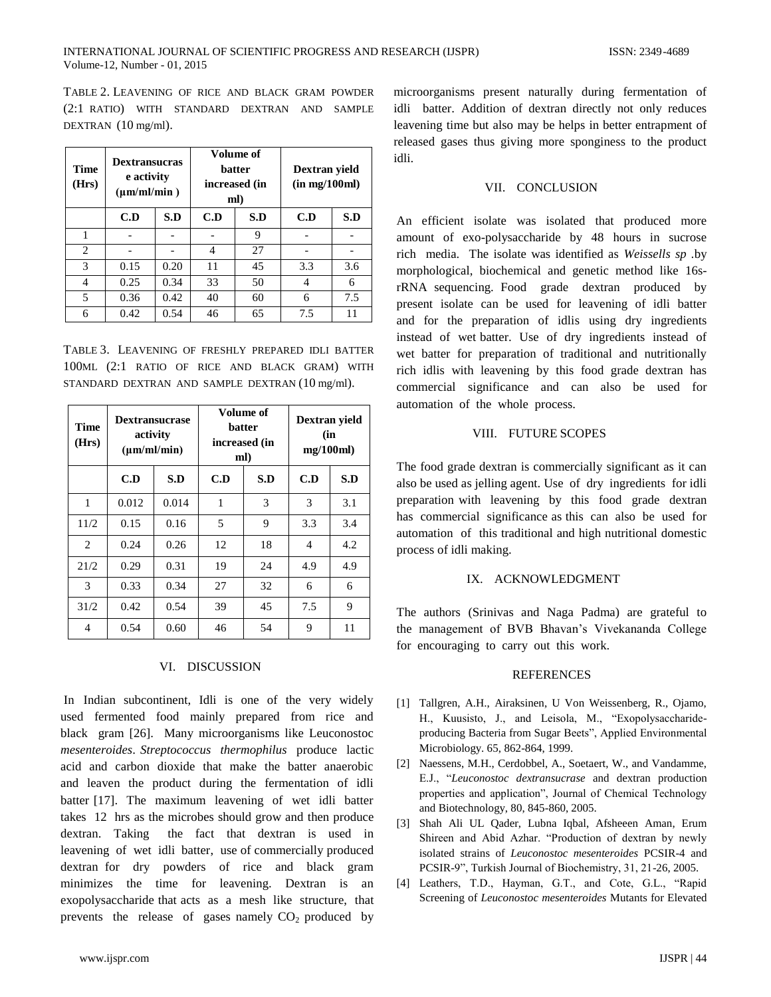TABLE 2. LEAVENING OF RICE AND BLACK GRAM POWDER (2:1 RATIO) WITH STANDARD DEXTRAN AND SAMPLE DEXTRAN (10 mg/ml).

| <b>Time</b><br>(Hrs) | <b>Dextransucras</b><br>e activity<br>$(\mu m/ml/min)$ |      | Volume of<br><b>batter</b><br>increased (in<br>ml) |     | Dextran yield<br>(in mg/100ml) |     |
|----------------------|--------------------------------------------------------|------|----------------------------------------------------|-----|--------------------------------|-----|
|                      | C.D                                                    | S.D  | C.D                                                | S.D | C.D                            | S.D |
|                      |                                                        |      |                                                    | 9   |                                |     |
| 2                    |                                                        |      | 4                                                  | 27  |                                |     |
| 3                    | 0.15                                                   | 0.20 | 11                                                 | 45  | 3.3                            | 3.6 |
| 4                    | 0.25                                                   | 0.34 | 33                                                 | 50  | 4                              | 6   |
| 5                    | 0.36                                                   | 0.42 | 40                                                 | 60  | 6                              | 7.5 |
| 6                    | 0.42                                                   | 0.54 | 46                                                 | 65  | 7.5                            | 11  |

TABLE 3. LEAVENING OF FRESHLY PREPARED IDLI BATTER 100ML (2:1 RATIO OF RICE AND BLACK GRAM) WITH STANDARD DEXTRAN AND SAMPLE DEXTRAN (10 mg/ml).

| Time<br>(Hrs)  | <b>Dextransucrase</b><br>activity<br>$(\mu m/ml/min)$ |       | Volume of<br>batter<br>increased (in<br>ml) |     | Dextran yield<br>(in<br>mg/100ml) |     |
|----------------|-------------------------------------------------------|-------|---------------------------------------------|-----|-----------------------------------|-----|
|                | C.D                                                   | S.D   | C.D                                         | S.D | C.D                               | S.D |
| 1              | 0.012                                                 | 0.014 | 1                                           | 3   | 3                                 | 3.1 |
| 11/2           | 0.15                                                  | 0.16  | 5                                           | 9   | 3.3                               | 3.4 |
| $\overline{c}$ | 0.24                                                  | 0.26  | 12                                          | 18  | 4                                 | 4.2 |
| 21/2           | 0.29                                                  | 0.31  | 19                                          | 24  | 4.9                               | 4.9 |
| 3              | 0.33                                                  | 0.34  | 27                                          | 32  | 6                                 | 6   |
| 31/2           | 0.42                                                  | 0.54  | 39                                          | 45  | 7.5                               | 9   |
| 4              | 0.54                                                  | 0.60  | 46                                          | 54  | 9                                 | 11  |

#### VI. DISCUSSION

In Indian subcontinent, Idli is one of the very widely used fermented food mainly prepared from rice and black gram [26]. Many microorganisms like Leuconostoc *mesenteroides*. *Streptococcus thermophilus* produce lactic acid and carbon dioxide that make the batter anaerobic and leaven the product during the fermentation of idli batter [17]. The maximum leavening of wet idli batter takes 12 hrs as the microbes should grow and then produce dextran. Taking the fact that dextran is used in leavening of wet idli batter, use of commercially produced dextran for dry powders of rice and black gram minimizes the time for leavening. Dextran is an exopolysaccharide that acts as a mesh like structure, that prevents the release of gases namely  $CO<sub>2</sub>$  produced by microorganisms present naturally during fermentation of idli batter. Addition of dextran directly not only reduces leavening time but also may be helps in better entrapment of released gases thus giving more sponginess to the product idli.

## VII. CONCLUSION

An efficient isolate was isolated that produced more amount of exo-polysaccharide by 48 hours in sucrose rich media. The isolate was identified as *Weissells sp .*by morphological, biochemical and genetic method like 16srRNA sequencing. Food grade dextran produced by present isolate can be used for leavening of idli batter and for the preparation of idlis using dry ingredients instead of wet batter. Use of dry ingredients instead of wet batter for preparation of traditional and nutritionally rich idlis with leavening by this food grade dextran has commercial significance and can also be used for automation of the whole process.

#### VIII. FUTURE SCOPES

The food grade dextran is commercially significant as it can also be used as jelling agent. Use of dry ingredients for idli preparation with leavening by this food grade dextran has commercial significance as this can also be used for automation of this traditional and high nutritional domestic process of idli making.

#### IX. ACKNOWLEDGMENT

The authors (Srinivas and Naga Padma) are grateful to the management of BVB Bhavan's Vivekananda College for encouraging to carry out this work.

#### REFERENCES

- [1] Tallgren, A.H., Airaksinen, U Von Weissenberg, R., Ojamo, H., Kuusisto, J., and Leisola, M., "Exopolysaccharideproducing Bacteria from Sugar Beets", Applied Environmental Microbiology. 65, 862-864, 1999.
- [2] Naessens, M.H., Cerdobbel, A., Soetaert, W., and Vandamme, E.J., "*Leuconostoc dextransucrase* and dextran production properties and application", Journal of Chemical Technology and Biotechnology, 80, 845-860, 2005.
- [3] Shah Ali UL Qader, Lubna Iqbal, Afsheeen Aman, Erum Shireen and Abid Azhar. "Production of dextran by newly isolated strains of *Leuconostoc mesenteroides* PCSIR-4 and PCSIR-9", Turkish Journal of Biochemistry, 31, 21-26, 2005.
- [4] Leathers, T.D., Hayman, G.T., and Cote, G.L., "Rapid Screening of *Leuconostoc mesenteroides* Mutants for Elevated